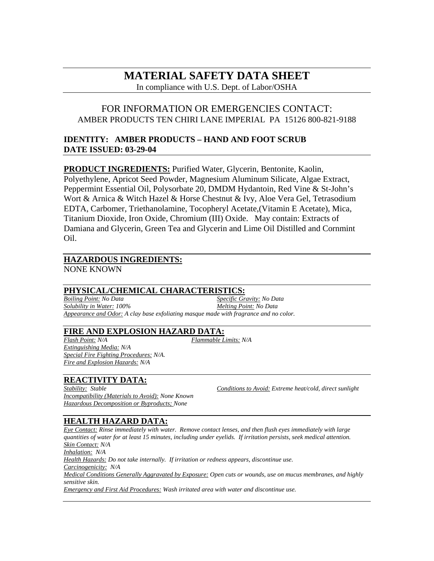# **MATERIAL SAFETY DATA SHEET**

In compliance with U.S. Dept. of Labor/OSHA

## FOR INFORMATION OR EMERGENCIES CONTACT: AMBER PRODUCTS TEN CHIRI LANE IMPERIAL PA 15126 800-821-9188

## **IDENTITY: AMBER PRODUCTS – HAND AND FOOT SCRUB DATE ISSUED: 03-29-04**

**PRODUCT INGREDIENTS:** Purified Water, Glycerin, Bentonite, Kaolin,

Polyethylene, Apricot Seed Powder, Magnesium Aluminum Silicate, Algae Extract, Peppermint Essential Oil, Polysorbate 20, DMDM Hydantoin, Red Vine & St-John's Wort & Arnica & Witch Hazel & Horse Chestnut & Ivy, Aloe Vera Gel, Tetrasodium EDTA, Carbomer, Triethanolamine, Tocopheryl Acetate,(Vitamin E Acetate), Mica, Titanium Dioxide, Iron Oxide, Chromium (III) Oxide. May contain: Extracts of Damiana and Glycerin, Green Tea and Glycerin and Lime Oil Distilled and Cornmint Oil.

#### **HAZARDOUS INGREDIENTS:**  NONE KNOWN

### **PHYSICAL/CHEMICAL CHARACTERISTICS:**

*Boiling Point: No Data Specific Gravity: No Data Solubility in Water: 100% Melting Point: No Data Appearance and Odor: A clay base exfoliating masque made with fragrance and no color.* 

### **FIRE AND EXPLOSION HAZARD DATA:**

*Flash Point: N/A Flammable Limits: N/A Extinguishing Media: N/A Special Fire Fighting Procedures: N/A. Fire and Explosion Hazards: N/A*

### **REACTIVITY DATA:**

*Incompatibility (Materials to Avoid): None Known Hazardous Decomposition or Byproducts; None*

*Stability: Stable Conditions to Avoid: Extreme heat/cold, direct sunlight*

# **HEALTH HAZARD DATA:**

*Eye Contact: Rinse immediately with water. Remove contact lenses, and then flush eyes immediately with large quantities of water for at least 15 minutes, including under eyelids. If irritation persists, seek medical attention. Skin Contact: N/A Inhalation: N/A Health Hazards: Do not take internally. If irritation or redness appears, discontinue use. Carcinogenicity: N/A Medical Conditions Generally Aggravated by Exposure: Open cuts or wounds, use on mucus membranes, and highly sensitive skin. Emergency and First Aid Procedures: Wash irritated area with water and discontinue use.*